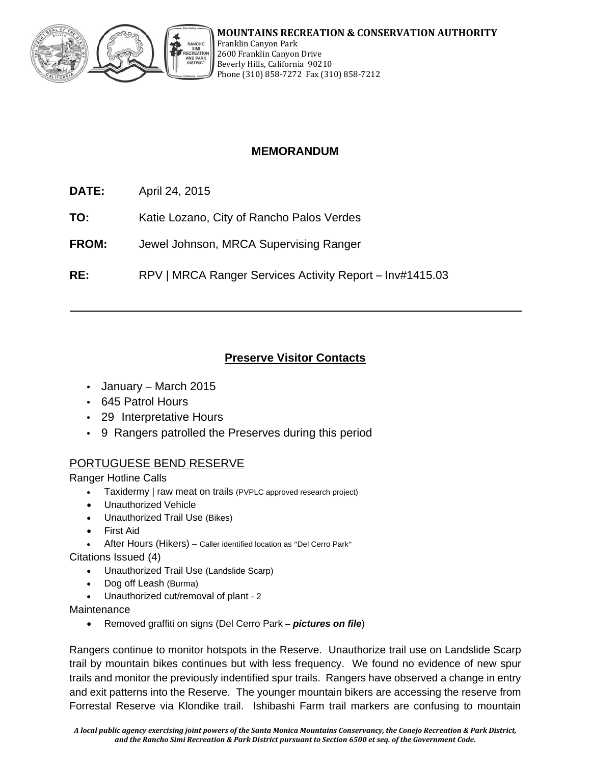

# **MEMORANDUM**

- **DATE:** April 24, 2015
- **TO:** Katie Lozano, City of Rancho Palos Verdes
- **FROM:** Jewel Johnson, MRCA Supervising Ranger
- **RE:** RPV | MRCA Ranger Services Activity Report Inv#1415.03

# **Preserve Visitor Contacts**

- January March 2015
- 645 Patrol Hours
- 29 Interpretative Hours
- 9 Rangers patrolled the Preserves during this period

### PORTUGUESE BEND RESERVE

Ranger Hotline Calls

- Taxidermy | raw meat on trails (PVPLC approved research project)
- Unauthorized Vehicle
- Unauthorized Trail Use (Bikes)
- First Aid
- After Hours (Hikers) Caller identified location as "Del Cerro Park"

Citations Issued (4)

- Unauthorized Trail Use (Landslide Scarp)
- Dog off Leash (Burma)
- Unauthorized cut/removal of plant 2

Maintenance

Removed graffiti on signs (Del Cerro Park – *pictures on file*)

Rangers continue to monitor hotspots in the Reserve. Unauthorize trail use on Landslide Scarp trail by mountain bikes continues but with less frequency. We found no evidence of new spur trails and monitor the previously indentified spur trails. Rangers have observed a change in entry and exit patterns into the Reserve. The younger mountain bikers are accessing the reserve from Forrestal Reserve via Klondike trail. Ishibashi Farm trail markers are confusing to mountain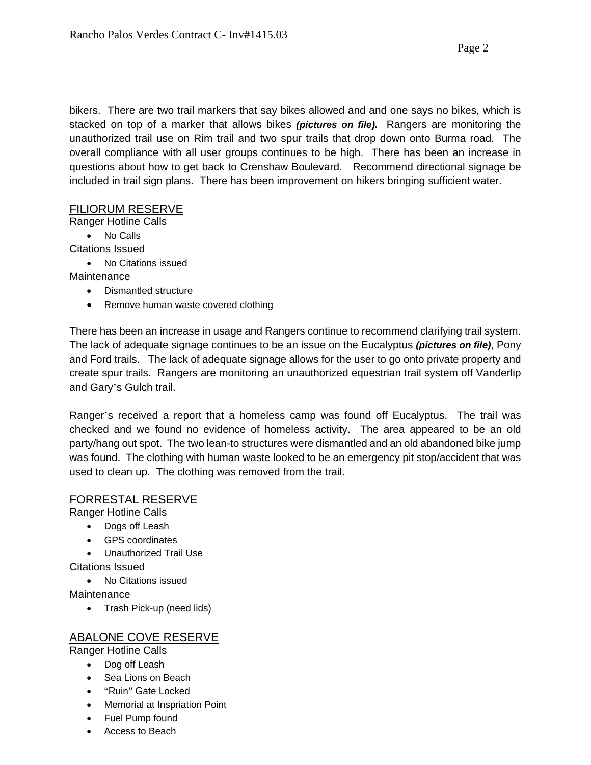bikers. There are two trail markers that say bikes allowed and and one says no bikes, which is stacked on top of a marker that allows bikes *(pictures on file).* Rangers are monitoring the unauthorized trail use on Rim trail and two spur trails that drop down onto Burma road. The overall compliance with all user groups continues to be high. There has been an increase in questions about how to get back to Crenshaw Boulevard. Recommend directional signage be included in trail sign plans. There has been improvement on hikers bringing sufficient water.

### FILIORUM RESERVE

Ranger Hotline Calls

• No Calls

Citations Issued

• No Citations issued

Maintenance

- Dismantled structure
- Remove human waste covered clothing

There has been an increase in usage and Rangers continue to recommend clarifying trail system. The lack of adequate signage continues to be an issue on the Eucalyptus *(pictures on file)*, Pony and Ford trails. The lack of adequate signage allows for the user to go onto private property and create spur trails. Rangers are monitoring an unauthorized equestrian trail system off Vanderlip and Gary's Gulch trail.

Ranger's received a report that a homeless camp was found off Eucalyptus. The trail was checked and we found no evidence of homeless activity. The area appeared to be an old party/hang out spot. The two lean-to structures were dismantled and an old abandoned bike jump was found. The clothing with human waste looked to be an emergency pit stop/accident that was used to clean up. The clothing was removed from the trail.

### FORRESTAL RESERVE

Ranger Hotline Calls

- Dogs off Leash
- GPS coordinates
- Unauthorized Trail Use

Citations Issued

• No Citations issued

Maintenance

• Trash Pick-up (need lids)

## ABALONE COVE RESERVE

Ranger Hotline Calls

- Dog off Leash
- Sea Lions on Beach
- "Ruin" Gate Locked
- Memorial at Inspriation Point
- Fuel Pump found
- Access to Beach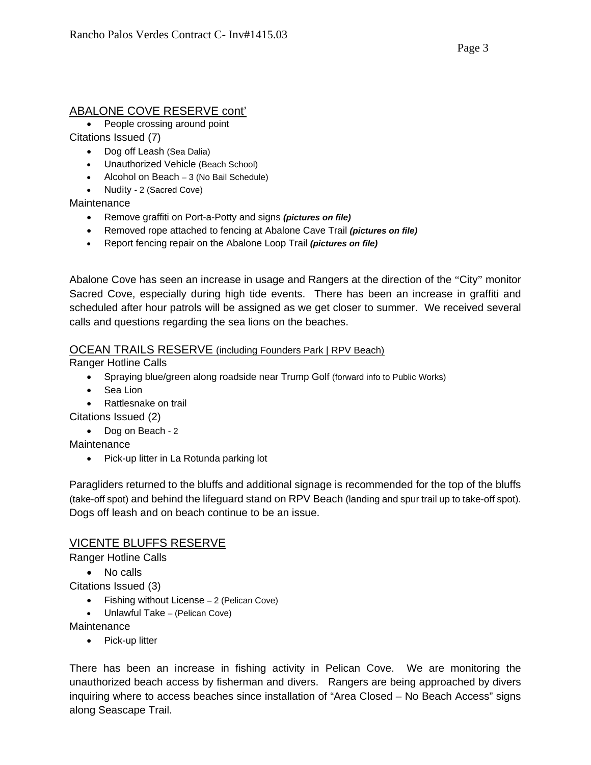### ABALONE COVE RESERVE cont'

• People crossing around point

Citations Issued (7)

- Dog off Leash (Sea Dalia)
- Unauthorized Vehicle (Beach School)
- Alcohol on Beach 3 (No Bail Schedule)
- Nudity 2 (Sacred Cove)

**Maintenance** 

- Remove graffiti on Port-a-Potty and signs *(pictures on file)*
- Removed rope attached to fencing at Abalone Cave Trail *(pictures on file)*
- Report fencing repair on the Abalone Loop Trail *(pictures on file)*

Abalone Cove has seen an increase in usage and Rangers at the direction of the "City" monitor Sacred Cove, especially during high tide events. There has been an increase in graffiti and scheduled after hour patrols will be assigned as we get closer to summer. We received several calls and questions regarding the sea lions on the beaches.

### OCEAN TRAILS RESERVE (including Founders Park | RPV Beach)

Ranger Hotline Calls

- Spraying blue/green along roadside near Trump Golf (forward info to Public Works)
- Sea Lion
- Rattlesnake on trail

Citations Issued (2)

• Dog on Beach - 2

Maintenance

• Pick-up litter in La Rotunda parking lot

Paragliders returned to the bluffs and additional signage is recommended for the top of the bluffs (take-off spot) and behind the lifeguard stand on RPV Beach (landing and spur trail up to take-off spot). Dogs off leash and on beach continue to be an issue.

### VICENTE BLUFFS RESERVE

Ranger Hotline Calls

- No calls
- Citations Issued (3)
	- Fishing without License 2 (Pelican Cove)
	- Unlawful Take (Pelican Cove)

**Maintenance** 

• Pick-up litter

There has been an increase in fishing activity in Pelican Cove. We are monitoring the unauthorized beach access by fisherman and divers. Rangers are being approached by divers inquiring where to access beaches since installation of "Area Closed – No Beach Access" signs along Seascape Trail.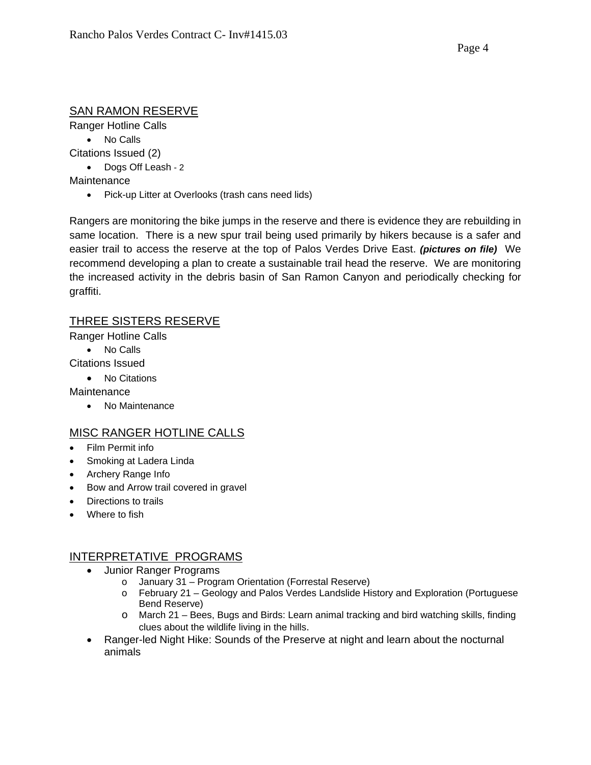## SAN RAMON RESERVE

Ranger Hotline Calls

• No Calls

Citations Issued (2)

• Dogs Off Leash - 2

Maintenance

• Pick-up Litter at Overlooks (trash cans need lids)

Rangers are monitoring the bike jumps in the reserve and there is evidence they are rebuilding in same location. There is a new spur trail being used primarily by hikers because is a safer and easier trail to access the reserve at the top of Palos Verdes Drive East. *(pictures on file)* We recommend developing a plan to create a sustainable trail head the reserve. We are monitoring the increased activity in the debris basin of San Ramon Canyon and periodically checking for graffiti.

## THREE SISTERS RESERVE

Ranger Hotline Calls

- No Calls
- Citations Issued
	- No Citations

**Maintenance** 

• No Maintenance

## MISC RANGER HOTLINE CALLS

- Film Permit info
- Smoking at Ladera Linda
- Archery Range Info
- Bow and Arrow trail covered in gravel
- Directions to trails
- Where to fish

### INTERPRETATIVE PROGRAMS

- Junior Ranger Programs
	- o January 31 Program Orientation (Forrestal Reserve)
	- o February 21 Geology and Palos Verdes Landslide History and Exploration (Portuguese Bend Reserve)
	- o March 21 Bees, Bugs and Birds: Learn animal tracking and bird watching skills, finding clues about the wildlife living in the hills.
- Ranger-led Night Hike: Sounds of the Preserve at night and learn about the nocturnal animals